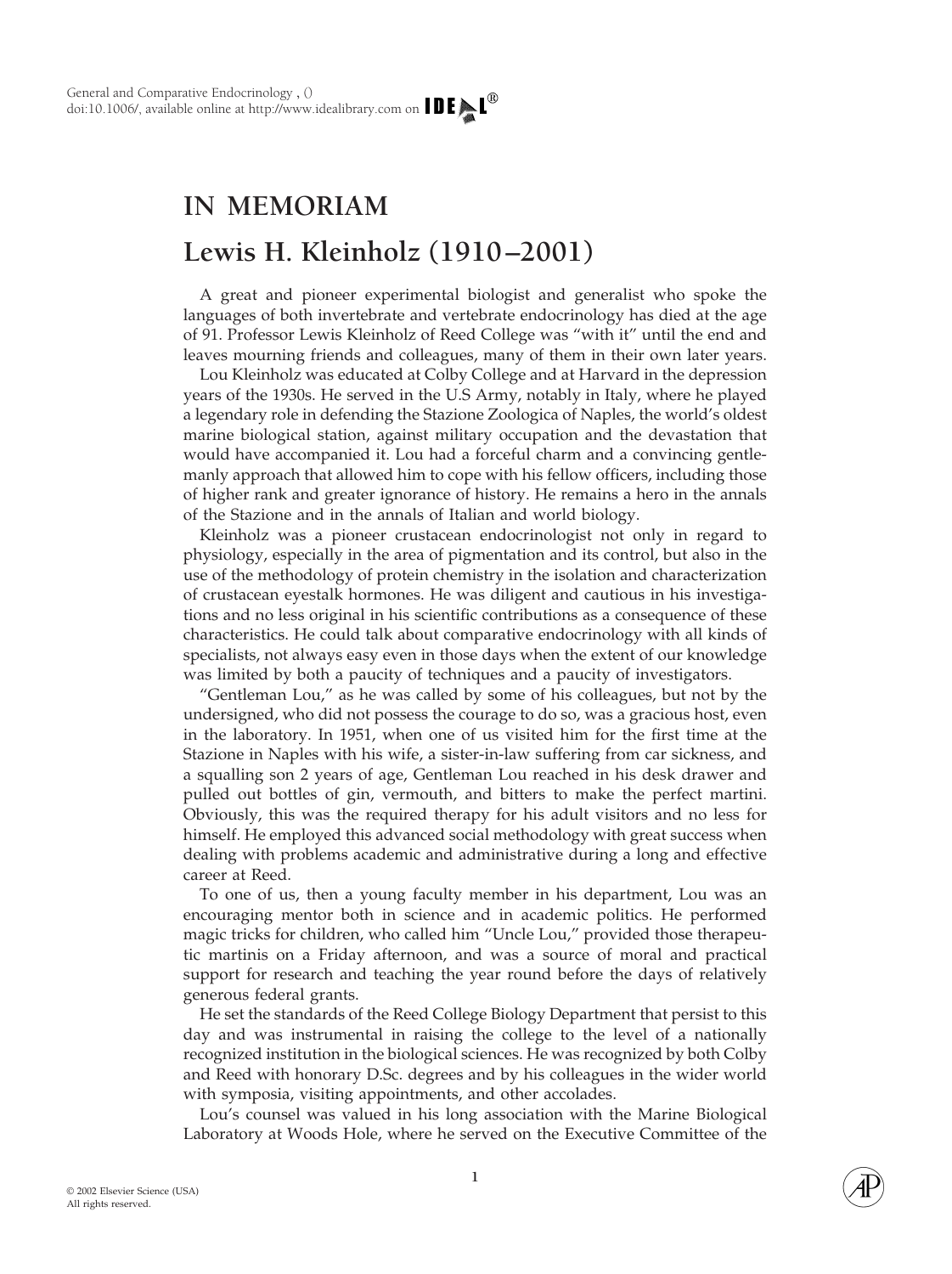## **IN MEMORIAM Lewis H. Kleinholz (1910–2001)**

A great and pioneer experimental biologist and generalist who spoke the languages of both invertebrate and vertebrate endocrinology has died at the age of 91. Professor Lewis Kleinholz of Reed College was "with it" until the end and leaves mourning friends and colleagues, many of them in their own later years.

Lou Kleinholz was educated at Colby College and at Harvard in the depression years of the 1930s. He served in the U.S Army, notably in Italy, where he played a legendary role in defending the Stazione Zoologica of Naples, the world's oldest marine biological station, against military occupation and the devastation that would have accompanied it. Lou had a forceful charm and a convincing gentlemanly approach that allowed him to cope with his fellow officers, including those of higher rank and greater ignorance of history. He remains a hero in the annals of the Stazione and in the annals of Italian and world biology.

Kleinholz was a pioneer crustacean endocrinologist not only in regard to physiology, especially in the area of pigmentation and its control, but also in the use of the methodology of protein chemistry in the isolation and characterization of crustacean eyestalk hormones. He was diligent and cautious in his investigations and no less original in his scientific contributions as a consequence of these characteristics. He could talk about comparative endocrinology with all kinds of specialists, not always easy even in those days when the extent of our knowledge was limited by both a paucity of techniques and a paucity of investigators.

"Gentleman Lou," as he was called by some of his colleagues, but not by the undersigned, who did not possess the courage to do so, was a gracious host, even in the laboratory. In 1951, when one of us visited him for the first time at the Stazione in Naples with his wife, a sister-in-law suffering from car sickness, and a squalling son 2 years of age, Gentleman Lou reached in his desk drawer and pulled out bottles of gin, vermouth, and bitters to make the perfect martini. Obviously, this was the required therapy for his adult visitors and no less for himself. He employed this advanced social methodology with great success when dealing with problems academic and administrative during a long and effective career at Reed.

To one of us, then a young faculty member in his department, Lou was an encouraging mentor both in science and in academic politics. He performed magic tricks for children, who called him "Uncle Lou," provided those therapeutic martinis on a Friday afternoon, and was a source of moral and practical support for research and teaching the year round before the days of relatively generous federal grants.

He set the standards of the Reed College Biology Department that persist to this day and was instrumental in raising the college to the level of a nationally recognized institution in the biological sciences. He was recognized by both Colby and Reed with honorary D.Sc. degrees and by his colleagues in the wider world with symposia, visiting appointments, and other accolades.

Lou's counsel was valued in his long association with the Marine Biological Laboratory at Woods Hole, where he served on the Executive Committee of the